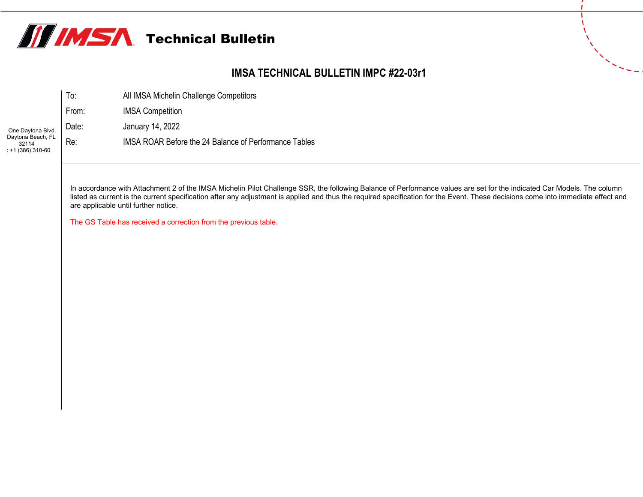

## **IMSA TECHNICAL BULLETIN IMPC #22-03r1**

|                                                 | To:   | All IMSA Michelin Challenge Competitors               |
|-------------------------------------------------|-------|-------------------------------------------------------|
|                                                 | From: | <b>IMSA Competition</b>                               |
| One Daytona Blvd.                               | Date: | January 14, 2022                                      |
| Daytona Beach, FL<br>32114<br>$: +1(386)310-60$ | Re:   | IMSA ROAR Before the 24 Balance of Performance Tables |

In accordance with Attachment 2 of the IMSA Michelin Pilot Challenge SSR, the following Balance of Performance values are set for the indicated Car Models. The column listed as current is the current specification after any adjustment is applied and thus the required specification for the Event. These decisions come into immediate effect and are applicable until further notice.

The GS Table has received a correction from the previous table.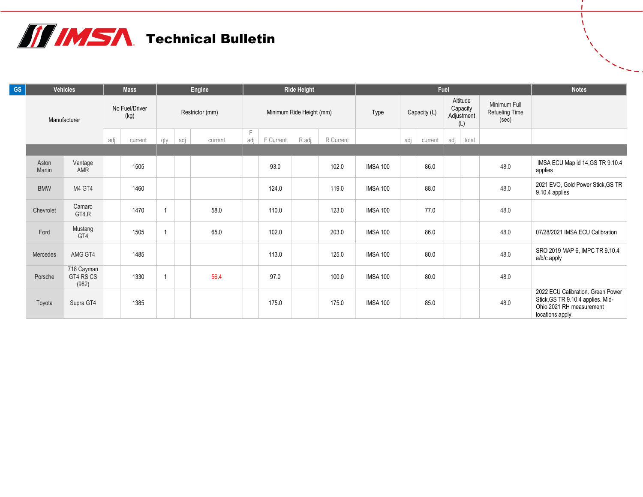## **TE IMSA** Technical Bulletin

| <b>GS</b> |                 | <b>Vehicles</b>                  |                        | <b>Mass</b> | Engine          |  | <b>Ride Height</b> |                          |           |       | Fuel      |                 |              |         |                                           |       | <b>Notes</b>                            |                                                                                                                        |
|-----------|-----------------|----------------------------------|------------------------|-------------|-----------------|--|--------------------|--------------------------|-----------|-------|-----------|-----------------|--------------|---------|-------------------------------------------|-------|-----------------------------------------|------------------------------------------------------------------------------------------------------------------------|
|           | Manufacturer    |                                  | No Fuel/Driver<br>(kg) |             | Restrictor (mm) |  |                    | Minimum Ride Height (mm) |           |       |           | Type            | Capacity (L) |         | Altitude<br>Capacity<br>Adjustment<br>(L) |       | Minimum Full<br>Refueling Time<br>(sec) |                                                                                                                        |
|           |                 |                                  | adj<br>current         |             | adj<br>qty.     |  | current            | F<br>adj                 | F Current | R adj | R Current |                 | adj          | current | adj                                       | total |                                         |                                                                                                                        |
|           |                 |                                  |                        |             |                 |  |                    |                          |           |       |           |                 |              |         |                                           |       |                                         |                                                                                                                        |
|           | Aston<br>Martin | Vantage<br><b>AMR</b>            |                        | 1505        |                 |  |                    |                          | 93.0      |       | 102.0     | <b>IMSA 100</b> |              | 86.0    |                                           |       | 48.0                                    | IMSA ECU Map id 14, GS TR 9.10.4<br>applies                                                                            |
|           | <b>BMW</b>      | M4 GT4                           |                        | 1460        |                 |  |                    |                          | 124.0     |       | 119.0     | <b>IMSA 100</b> |              | 88.0    |                                           |       | 48.0                                    | 2021 EVO, Gold Power Stick, GS TR<br>9.10.4 applies                                                                    |
|           | Chevrolet       | Camaro<br>GT4.R                  |                        | 1470        | $\overline{1}$  |  | 58.0               |                          | 110.0     |       | 123.0     | <b>IMSA 100</b> |              | 77.0    |                                           |       | 48.0                                    |                                                                                                                        |
|           | Ford            | Mustang<br>GT4                   |                        | 1505        | $\overline{1}$  |  | 65.0               |                          | 102.0     |       | 203.0     | <b>IMSA 100</b> |              | 86.0    |                                           |       | 48.0                                    | 07/28/2021 IMSA ECU Calibration                                                                                        |
|           | Mercedes        | AMG GT4                          |                        | 1485        |                 |  |                    |                          | 113.0     |       | 125.0     | <b>IMSA 100</b> |              | 80.0    |                                           |       | 48.0                                    | SRO 2019 MAP 6, IMPC TR 9.10.4<br>a/b/c apply                                                                          |
|           | Porsche         | 718 Cayman<br>GT4 RS CS<br>(982) |                        | 1330        | $\overline{1}$  |  | 56.4               |                          | 97.0      |       | 100.0     | <b>IMSA 100</b> |              | 80.0    |                                           |       | 48.0                                    |                                                                                                                        |
|           | Toyota          | Supra GT4                        |                        | 1385        |                 |  |                    |                          | 175.0     |       | 175.0     | <b>IMSA 100</b> |              | 85.0    |                                           |       | 48.0                                    | 2022 ECU Calibration. Green Power<br>Stick, GS TR 9.10.4 applies. Mid-<br>Ohio 2021 RH measurement<br>locations apply. |